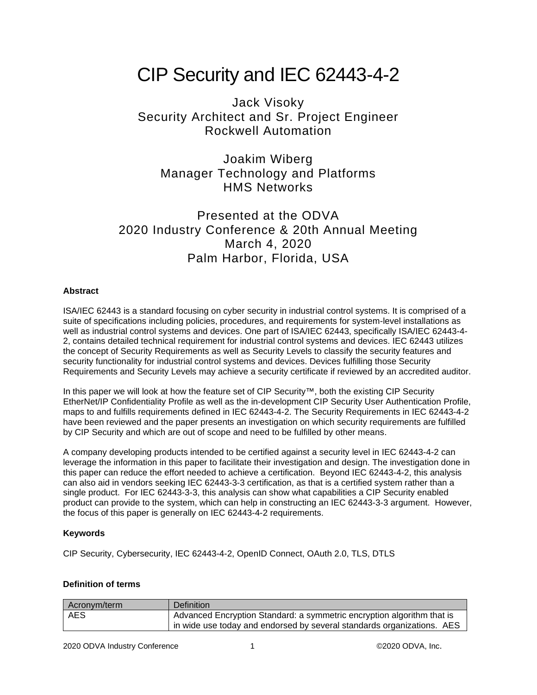# CIP Security and IEC 62443-4-2

# Jack Visoky Security Architect and Sr. Project Engineer Rockwell Automation

Joakim Wiberg Manager Technology and Platforms HMS Networks

# Presented at the ODVA 2020 Industry Conference & 20th Annual Meeting March 4, 2020 Palm Harbor, Florida, USA

# **Abstract**

ISA/IEC 62443 is a standard focusing on cyber security in industrial control systems. It is comprised of a suite of specifications including policies, procedures, and requirements for system-level installations as well as industrial control systems and devices. One part of ISA/IEC 62443, specifically ISA/IEC 62443-4- 2, contains detailed technical requirement for industrial control systems and devices. IEC 62443 utilizes the concept of Security Requirements as well as Security Levels to classify the security features and security functionality for industrial control systems and devices. Devices fulfilling those Security Requirements and Security Levels may achieve a security certificate if reviewed by an accredited auditor.

In this paper we will look at how the feature set of CIP Security™, both the existing CIP Security EtherNet/IP Confidentiality Profile as well as the in-development CIP Security User Authentication Profile, maps to and fulfills requirements defined in IEC 62443-4-2. The Security Requirements in IEC 62443-4-2 have been reviewed and the paper presents an investigation on which security requirements are fulfilled by CIP Security and which are out of scope and need to be fulfilled by other means.

A company developing products intended to be certified against a security level in IEC 62443-4-2 can leverage the information in this paper to facilitate their investigation and design. The investigation done in this paper can reduce the effort needed to achieve a certification. Beyond IEC 62443-4-2, this analysis can also aid in vendors seeking IEC 62443-3-3 certification, as that is a certified system rather than a single product. For IEC 62443-3-3, this analysis can show what capabilities a CIP Security enabled product can provide to the system, which can help in constructing an IEC 62443-3-3 argument. However, the focus of this paper is generally on IEC 62443-4-2 requirements.

# **Keywords**

CIP Security, Cybersecurity, IEC 62443-4-2, OpenID Connect, OAuth 2.0, TLS, DTLS

# **Definition of terms**

| Acronym/term | Definition                                                             |
|--------------|------------------------------------------------------------------------|
| <b>AES</b>   | Advanced Encryption Standard: a symmetric encryption algorithm that is |
|              | in wide use today and endorsed by several standards organizations. AES |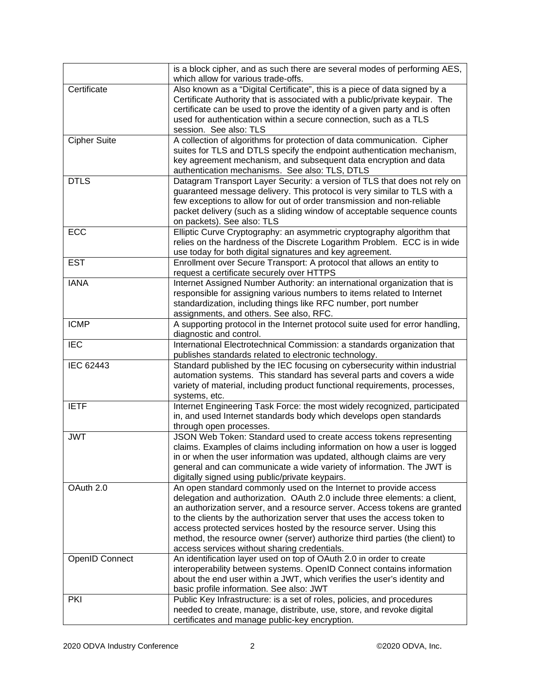|                       | is a block cipher, and as such there are several modes of performing AES,     |
|-----------------------|-------------------------------------------------------------------------------|
|                       | which allow for various trade-offs.                                           |
| Certificate           | Also known as a "Digital Certificate", this is a piece of data signed by a    |
|                       | Certificate Authority that is associated with a public/private keypair. The   |
|                       | certificate can be used to prove the identity of a given party and is often   |
|                       | used for authentication within a secure connection, such as a TLS             |
|                       | session. See also: TLS                                                        |
| <b>Cipher Suite</b>   | A collection of algorithms for protection of data communication. Cipher       |
|                       | suites for TLS and DTLS specify the endpoint authentication mechanism,        |
|                       | key agreement mechanism, and subsequent data encryption and data              |
|                       | authentication mechanisms. See also: TLS, DTLS                                |
| <b>DTLS</b>           | Datagram Transport Layer Security: a version of TLS that does not rely on     |
|                       | guaranteed message delivery. This protocol is very similar to TLS with a      |
|                       | few exceptions to allow for out of order transmission and non-reliable        |
|                       | packet delivery (such as a sliding window of acceptable sequence counts       |
|                       | on packets). See also: TLS                                                    |
| ECC                   | Elliptic Curve Cryptography: an asymmetric cryptography algorithm that        |
|                       | relies on the hardness of the Discrete Logarithm Problem. ECC is in wide      |
|                       | use today for both digital signatures and key agreement.                      |
| <b>EST</b>            | Enrollment over Secure Transport: A protocol that allows an entity to         |
|                       | request a certificate securely over HTTPS                                     |
| <b>IANA</b>           | Internet Assigned Number Authority: an international organization that is     |
|                       | responsible for assigning various numbers to items related to Internet        |
|                       | standardization, including things like RFC number, port number                |
|                       | assignments, and others. See also, RFC.                                       |
| <b>ICMP</b>           | A supporting protocol in the Internet protocol suite used for error handling, |
|                       | diagnostic and control.                                                       |
| <b>IEC</b>            | International Electrotechnical Commission: a standards organization that      |
|                       | publishes standards related to electronic technology.                         |
| IEC 62443             | Standard published by the IEC focusing on cybersecurity within industrial     |
|                       | automation systems. This standard has several parts and covers a wide         |
|                       | variety of material, including product functional requirements, processes,    |
|                       | systems, etc.                                                                 |
| <b>IETF</b>           | Internet Engineering Task Force: the most widely recognized, participated     |
|                       | in, and used Internet standards body which develops open standards            |
|                       | through open processes.                                                       |
| <b>JWT</b>            | JSON Web Token: Standard used to create access tokens representing            |
|                       | claims. Examples of claims including information on how a user is logged      |
|                       | in or when the user information was updated, although claims are very         |
|                       | general and can communicate a wide variety of information. The JWT is         |
|                       | digitally signed using public/private keypairs.                               |
| OAuth 2.0             | An open standard commonly used on the Internet to provide access              |
|                       | delegation and authorization. OAuth 2.0 include three elements: a client,     |
|                       | an authorization server, and a resource server. Access tokens are granted     |
|                       | to the clients by the authorization server that uses the access token to      |
|                       | access protected services hosted by the resource server. Using this           |
|                       | method, the resource owner (server) authorize third parties (the client) to   |
|                       | access services without sharing credentials.                                  |
| <b>OpenID Connect</b> | An identification layer used on top of OAuth 2.0 in order to create           |
|                       | interoperability between systems. OpenID Connect contains information         |
|                       | about the end user within a JWT, which verifies the user's identity and       |
|                       | basic profile information. See also: JWT                                      |
| <b>PKI</b>            | Public Key Infrastructure: is a set of roles, policies, and procedures        |
|                       | needed to create, manage, distribute, use, store, and revoke digital          |
|                       | certificates and manage public-key encryption.                                |
|                       |                                                                               |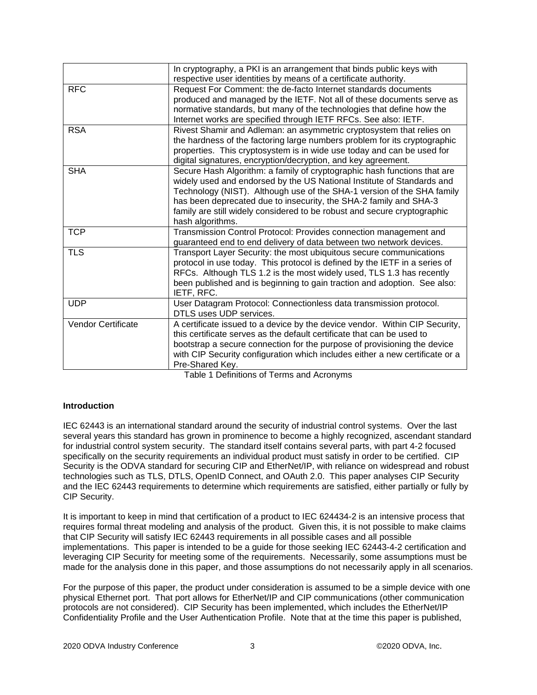|                    | In cryptography, a PKI is an arrangement that binds public keys with<br>respective user identities by means of a certificate authority. |
|--------------------|-----------------------------------------------------------------------------------------------------------------------------------------|
|                    |                                                                                                                                         |
| <b>RFC</b>         | Request For Comment: the de-facto Internet standards documents                                                                          |
|                    | produced and managed by the IETF. Not all of these documents serve as                                                                   |
|                    | normative standards, but many of the technologies that define how the                                                                   |
|                    | Internet works are specified through IETF RFCs. See also: IETF.                                                                         |
| <b>RSA</b>         | Rivest Shamir and Adleman: an asymmetric cryptosystem that relies on                                                                    |
|                    | the hardness of the factoring large numbers problem for its cryptographic                                                               |
|                    | properties. This cryptosystem is in wide use today and can be used for                                                                  |
|                    | digital signatures, encryption/decryption, and key agreement.                                                                           |
| <b>SHA</b>         | Secure Hash Algorithm: a family of cryptographic hash functions that are                                                                |
|                    | widely used and endorsed by the US National Institute of Standards and                                                                  |
|                    | Technology (NIST). Although use of the SHA-1 version of the SHA family                                                                  |
|                    | has been deprecated due to insecurity, the SHA-2 family and SHA-3                                                                       |
|                    | family are still widely considered to be robust and secure cryptographic                                                                |
|                    | hash algorithms.                                                                                                                        |
| <b>TCP</b>         | Transmission Control Protocol: Provides connection management and                                                                       |
|                    | guaranteed end to end delivery of data between two network devices.                                                                     |
| <b>TLS</b>         | Transport Layer Security: the most ubiquitous secure communications                                                                     |
|                    | protocol in use today. This protocol is defined by the IETF in a series of                                                              |
|                    | RFCs. Although TLS 1.2 is the most widely used, TLS 1.3 has recently                                                                    |
|                    | been published and is beginning to gain traction and adoption. See also:                                                                |
|                    | IETF, RFC.                                                                                                                              |
| <b>UDP</b>         | User Datagram Protocol: Connectionless data transmission protocol.                                                                      |
|                    | DTLS uses UDP services.                                                                                                                 |
| Vendor Certificate | A certificate issued to a device by the device vendor. Within CIP Security,                                                             |
|                    | this certificate serves as the default certificate that can be used to                                                                  |
|                    | bootstrap a secure connection for the purpose of provisioning the device                                                                |
|                    | with CIP Security configuration which includes either a new certificate or a                                                            |
|                    | Pre-Shared Key.                                                                                                                         |
|                    | エンレイン オート・アンセンション スイエンス<br>$\mathbf{A}$                                                                                                 |

Table 1 Definitions of Terms and Acronyms

# **Introduction**

IEC 62443 is an international standard around the security of industrial control systems. Over the last several years this standard has grown in prominence to become a highly recognized, ascendant standard for industrial control system security. The standard itself contains several parts, with part 4-2 focused specifically on the security requirements an individual product must satisfy in order to be certified. CIP Security is the ODVA standard for securing CIP and EtherNet/IP, with reliance on widespread and robust technologies such as TLS, DTLS, OpenID Connect, and OAuth 2.0. This paper analyses CIP Security and the IEC 62443 requirements to determine which requirements are satisfied, either partially or fully by CIP Security.

It is important to keep in mind that certification of a product to IEC 624434-2 is an intensive process that requires formal threat modeling and analysis of the product. Given this, it is not possible to make claims that CIP Security will satisfy IEC 62443 requirements in all possible cases and all possible implementations. This paper is intended to be a guide for those seeking IEC 62443-4-2 certification and leveraging CIP Security for meeting some of the requirements. Necessarily, some assumptions must be made for the analysis done in this paper, and those assumptions do not necessarily apply in all scenarios.

For the purpose of this paper, the product under consideration is assumed to be a simple device with one physical Ethernet port. That port allows for EtherNet/IP and CIP communications (other communication protocols are not considered). CIP Security has been implemented, which includes the EtherNet/IP Confidentiality Profile and the User Authentication Profile. Note that at the time this paper is published,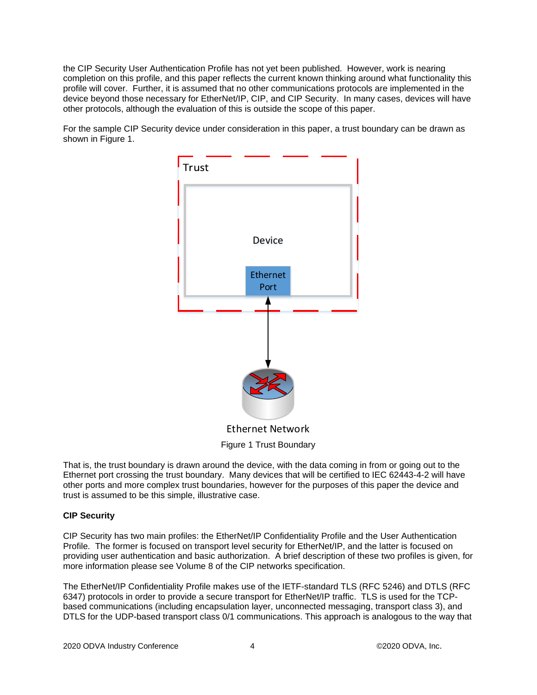the CIP Security User Authentication Profile has not yet been published. However, work is nearing completion on this profile, and this paper reflects the current known thinking around what functionality this profile will cover. Further, it is assumed that no other communications protocols are implemented in the device beyond those necessary for EtherNet/IP, CIP, and CIP Security. In many cases, devices will have other protocols, although the evaluation of this is outside the scope of this paper.

For the sample CIP Security device under consideration in this paper, a trust boundary can be drawn as shown in Figure 1.



Ethernet Network Figure 1 Trust Boundary

That is, the trust boundary is drawn around the device, with the data coming in from or going out to the Ethernet port crossing the trust boundary. Many devices that will be certified to IEC 62443-4-2 will have other ports and more complex trust boundaries, however for the purposes of this paper the device and trust is assumed to be this simple, illustrative case.

# **CIP Security**

CIP Security has two main profiles: the EtherNet/IP Confidentiality Profile and the User Authentication Profile. The former is focused on transport level security for EtherNet/IP, and the latter is focused on providing user authentication and basic authorization. A brief description of these two profiles is given, for more information please see Volume 8 of the CIP networks specification.

The EtherNet/IP Confidentiality Profile makes use of the IETF-standard TLS (RFC 5246) and DTLS (RFC 6347) protocols in order to provide a secure transport for EtherNet/IP traffic. TLS is used for the TCPbased communications (including encapsulation layer, unconnected messaging, transport class 3), and DTLS for the UDP-based transport class 0/1 communications. This approach is analogous to the way that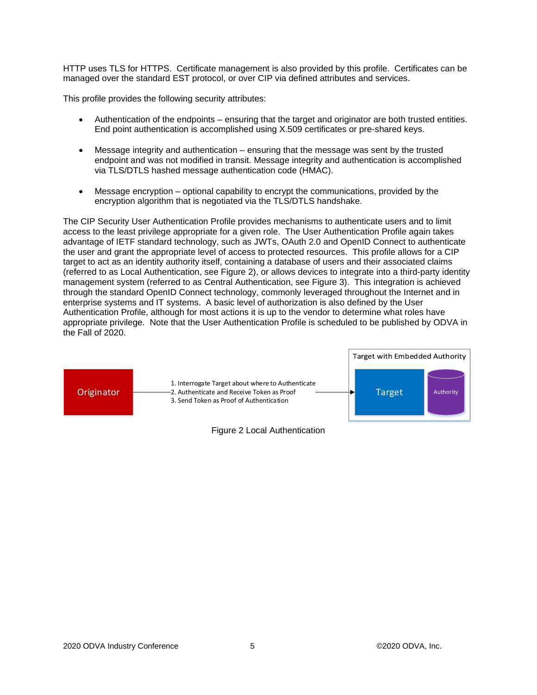HTTP uses TLS for HTTPS. Certificate management is also provided by this profile. Certificates can be managed over the standard EST protocol, or over CIP via defined attributes and services.

This profile provides the following security attributes:

- Authentication of the endpoints ensuring that the target and originator are both trusted entities. End point authentication is accomplished using X.509 certificates or pre-shared keys.
- Message integrity and authentication ensuring that the message was sent by the trusted endpoint and was not modified in transit. Message integrity and authentication is accomplished via TLS/DTLS hashed message authentication code (HMAC).
- Message encryption optional capability to encrypt the communications, provided by the encryption algorithm that is negotiated via the TLS/DTLS handshake.

The CIP Security User Authentication Profile provides mechanisms to authenticate users and to limit access to the least privilege appropriate for a given role. The User Authentication Profile again takes advantage of IETF standard technology, such as JWTs, OAuth 2.0 and OpenID Connect to authenticate the user and grant the appropriate level of access to protected resources. This profile allows for a CIP target to act as an identity authority itself, containing a database of users and their associated claims (referred to as Local Authentication, see Figure 2), or allows devices to integrate into a third-party identity management system (referred to as Central Authentication, see Figure 3). This integration is achieved through the standard OpenID Connect technology, commonly leveraged throughout the Internet and in enterprise systems and IT systems. A basic level of authorization is also defined by the User Authentication Profile, although for most actions it is up to the vendor to determine what roles have appropriate privilege. Note that the User Authentication Profile is scheduled to be published by ODVA in the Fall of 2020.



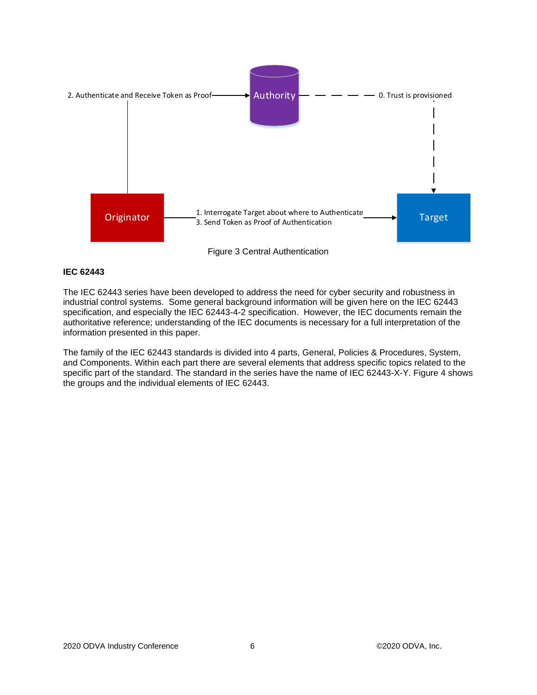

#### **IEC 62443**

The IEC 62443 series have been developed to address the need for cyber security and robustness in industrial control systems. Some general background information will be given here on the IEC 62443 specification, and especially the IEC 62443-4-2 specification. However, the IEC documents remain the authoritative reference; understanding of the IEC documents is necessary for a full interpretation of the information presented in this paper.

The family of the IEC 62443 standards is divided into 4 parts, General, Policies & Procedures, System, and Components. Within each part there are several elements that address specific topics related to the specific part of the standard. The standard in the series have the name of IEC 62443-X-Y. Figure 4 shows the groups and the individual elements of IEC 62443.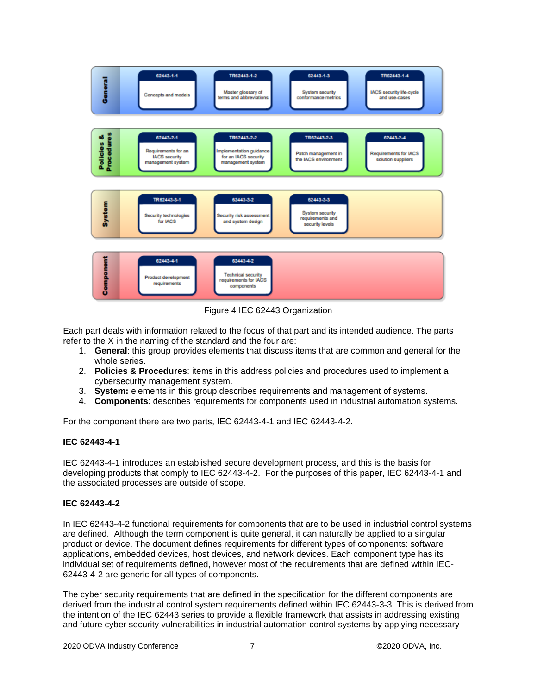

Figure 4 IEC 62443 Organization

Each part deals with information related to the focus of that part and its intended audience. The parts refer to the X in the naming of the standard and the four are:

- 1. **General**: this group provides elements that discuss items that are common and general for the whole series.
- 2. **Policies & Procedures**: items in this address policies and procedures used to implement a cybersecurity management system.
- 3. **System:** elements in this group describes requirements and management of systems.
- 4. **Components**: describes requirements for components used in industrial automation systems.

For the component there are two parts, IEC 62443-4-1 and IEC 62443-4-2.

#### **IEC 62443-4-1**

IEC 62443-4-1 introduces an established secure development process, and this is the basis for developing products that comply to IEC 62443-4-2. For the purposes of this paper, IEC 62443-4-1 and the associated processes are outside of scope.

#### **IEC 62443-4-2**

In IEC 62443-4-2 functional requirements for components that are to be used in industrial control systems are defined. Although the term component is quite general, it can naturally be applied to a singular product or device. The document defines requirements for different types of components: software applications, embedded devices, host devices, and network devices. Each component type has its individual set of requirements defined, however most of the requirements that are defined within IEC-62443-4-2 are generic for all types of components.

The cyber security requirements that are defined in the specification for the different components are derived from the industrial control system requirements defined within IEC 62443-3-3. This is derived from the intention of the IEC 62443 series to provide a flexible framework that assists in addressing existing and future cyber security vulnerabilities in industrial automation control systems by applying necessary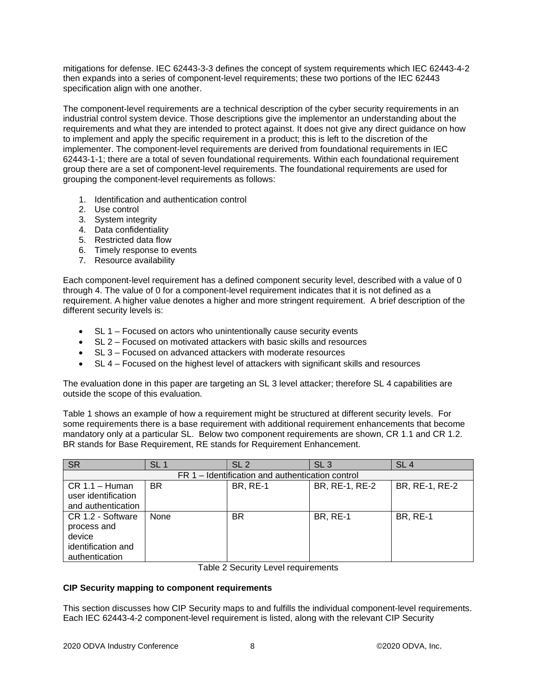mitigations for defense. IEC 62443-3-3 defines the concept of system requirements which IEC 62443-4-2 then expands into a series of component-level requirements; these two portions of the IEC 62443 specification align with one another.

The component-level requirements are a technical description of the cyber security requirements in an industrial control system device. Those descriptions give the implementor an understanding about the requirements and what they are intended to protect against. It does not give any direct guidance on how to implement and apply the specific requirement in a product; this is left to the discretion of the implementer. The component-level requirements are derived from foundational requirements in IEC 62443-1-1; there are a total of seven foundational requirements. Within each foundational requirement group there are a set of component-level requirements. The foundational requirements are used for grouping the component-level requirements as follows:

- 1. Identification and authentication control
- 2. Use control
- 3. System integrity
- 4. Data confidentiality
- 5. Restricted data flow
- 6. Timely response to events
- 7. Resource availability

Each component-level requirement has a defined component security level, described with a value of 0 through 4. The value of 0 for a component-level requirement indicates that it is not defined as a requirement. A higher value denotes a higher and more stringent requirement. A brief description of the different security levels is:

- SL 1 Focused on actors who unintentionally cause security events
- SL 2 Focused on motivated attackers with basic skills and resources
- SL 3 Focused on advanced attackers with moderate resources
- SL 4 Focused on the highest level of attackers with significant skills and resources

The evaluation done in this paper are targeting an SL 3 level attacker; therefore SL 4 capabilities are outside the scope of this evaluation.

[Table 1](#page-7-0) shows an example of how a requirement might be structured at different security levels. For some requirements there is a base requirement with additional requirement enhancements that become mandatory only at a particular SL. Below two component requirements are shown, CR 1.1 and CR 1.2. BR stands for Base Requirement, RE stands for Requirement Enhancement.

| <b>SR</b>                                        | SL <sub>1</sub> | SL 2            | SL <sub>3</sub> | SL <sub>4</sub> |  |
|--------------------------------------------------|-----------------|-----------------|-----------------|-----------------|--|
| FR 1 – Identification and authentication control |                 |                 |                 |                 |  |
| $CR 1.1 - Human$<br>user identification          | <b>BR</b>       | <b>BR, RE-1</b> | BR, RE-1, RE-2  | BR, RE-1, RE-2  |  |
| and authentication                               |                 |                 |                 |                 |  |
| CR 1.2 - Software<br>process and<br>device       | None            | BR              | <b>BR, RE-1</b> | <b>BR, RE-1</b> |  |
| identification and<br>authentication             |                 |                 |                 |                 |  |

Table 2 Security Level requirements

#### <span id="page-7-0"></span>**CIP Security mapping to component requirements**

This section discusses how CIP Security maps to and fulfills the individual component-level requirements. Each IEC 62443-4-2 component-level requirement is listed, along with the relevant CIP Security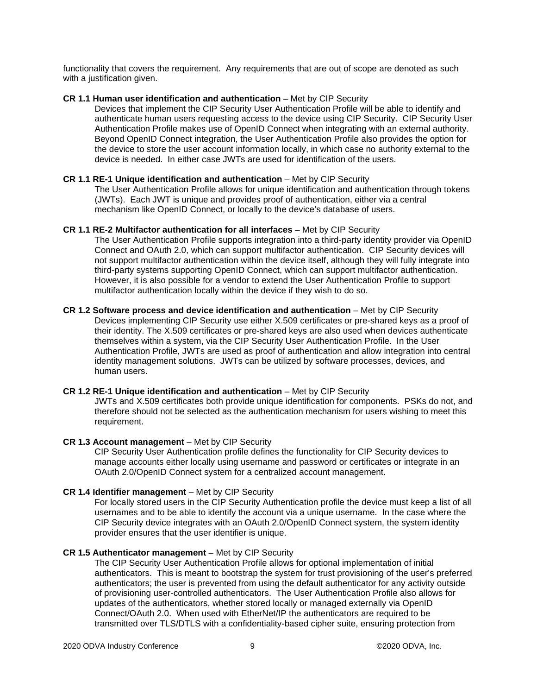functionality that covers the requirement. Any requirements that are out of scope are denoted as such with a justification given.

# **CR 1.1 Human user identification and authentication** – Met by CIP Security

Devices that implement the CIP Security User Authentication Profile will be able to identify and authenticate human users requesting access to the device using CIP Security. CIP Security User Authentication Profile makes use of OpenID Connect when integrating with an external authority. Beyond OpenID Connect integration, the User Authentication Profile also provides the option for the device to store the user account information locally, in which case no authority external to the device is needed. In either case JWTs are used for identification of the users.

# **CR 1.1 RE-1 Unique identification and authentication** – Met by CIP Security

The User Authentication Profile allows for unique identification and authentication through tokens (JWTs). Each JWT is unique and provides proof of authentication, either via a central mechanism like OpenID Connect, or locally to the device's database of users.

# **CR 1.1 RE-2 Multifactor authentication for all interfaces** – Met by CIP Security

The User Authentication Profile supports integration into a third-party identity provider via OpenID Connect and OAuth 2.0, which can support multifactor authentication. CIP Security devices will not support multifactor authentication within the device itself, although they will fully integrate into third-party systems supporting OpenID Connect, which can support multifactor authentication. However, it is also possible for a vendor to extend the User Authentication Profile to support multifactor authentication locally within the device if they wish to do so.

#### **CR 1.2 Software process and device identification and authentication** – Met by CIP Security Devices implementing CIP Security use either X.509 certificates or pre-shared keys as a proof of their identity. The X.509 certificates or pre-shared keys are also used when devices authenticate themselves within a system, via the CIP Security User Authentication Profile. In the User Authentication Profile, JWTs are used as proof of authentication and allow integration into central identity management solutions. JWTs can be utilized by software processes, devices, and human users.

# **CR 1.2 RE-1 Unique identification and authentication – Met by CIP Security**

JWTs and X.509 certificates both provide unique identification for components. PSKs do not, and therefore should not be selected as the authentication mechanism for users wishing to meet this requirement.

#### **CR 1.3 Account management** – Met by CIP Security

CIP Security User Authentication profile defines the functionality for CIP Security devices to manage accounts either locally using username and password or certificates or integrate in an OAuth 2.0/OpenID Connect system for a centralized account management.

# **CR 1.4 Identifier management** – Met by CIP Security

For locally stored users in the CIP Security Authentication profile the device must keep a list of all usernames and to be able to identify the account via a unique username. In the case where the CIP Security device integrates with an OAuth 2.0/OpenID Connect system, the system identity provider ensures that the user identifier is unique.

# **CR 1.5 Authenticator management** – Met by CIP Security

The CIP Security User Authentication Profile allows for optional implementation of initial authenticators. This is meant to bootstrap the system for trust provisioning of the user's preferred authenticators; the user is prevented from using the default authenticator for any activity outside of provisioning user-controlled authenticators. The User Authentication Profile also allows for updates of the authenticators, whether stored locally or managed externally via OpenID Connect/OAuth 2.0. When used with EtherNet/IP the authenticators are required to be transmitted over TLS/DTLS with a confidentiality-based cipher suite, ensuring protection from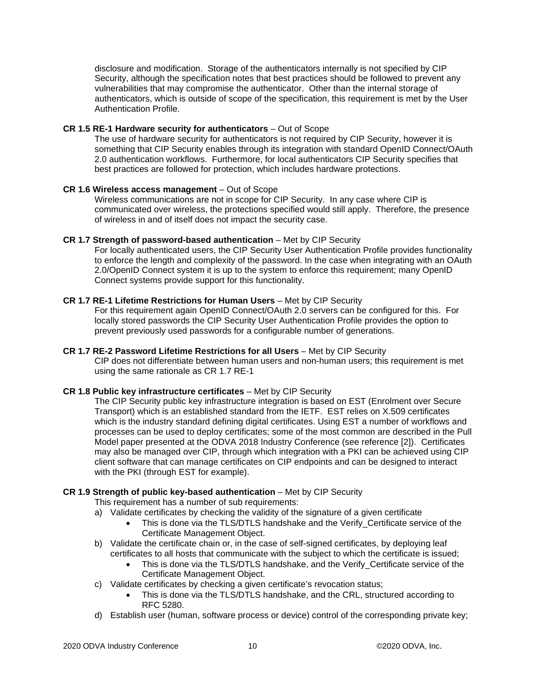disclosure and modification. Storage of the authenticators internally is not specified by CIP Security, although the specification notes that best practices should be followed to prevent any vulnerabilities that may compromise the authenticator. Other than the internal storage of authenticators, which is outside of scope of the specification, this requirement is met by the User Authentication Profile.

### **CR 1.5 RE-1 Hardware security for authenticators** – Out of Scope

The use of hardware security for authenticators is not required by CIP Security, however it is something that CIP Security enables through its integration with standard OpenID Connect/OAuth 2.0 authentication workflows. Furthermore, for local authenticators CIP Security specifies that best practices are followed for protection, which includes hardware protections.

# **CR 1.6 Wireless access management** – Out of Scope

Wireless communications are not in scope for CIP Security. In any case where CIP is communicated over wireless, the protections specified would still apply. Therefore, the presence of wireless in and of itself does not impact the security case.

# **CR 1.7 Strength of password-based authentication** – Met by CIP Security

For locally authenticated users, the CIP Security User Authentication Profile provides functionality to enforce the length and complexity of the password. In the case when integrating with an OAuth 2.0/OpenID Connect system it is up to the system to enforce this requirement; many OpenID Connect systems provide support for this functionality.

# **CR 1.7 RE-1 Lifetime Restrictions for Human Users** – Met by CIP Security

For this requirement again OpenID Connect/OAuth 2.0 servers can be configured for this. For locally stored passwords the CIP Security User Authentication Profile provides the option to prevent previously used passwords for a configurable number of generations.

# **CR 1.7 RE-2 Password Lifetime Restrictions for all Users** – Met by CIP Security CIP does not differentiate between human users and non-human users; this requirement is met using the same rationale as CR 1.7 RE-1

# **CR 1.8 Public key infrastructure certificates** – Met by CIP Security

The CIP Security public key infrastructure integration is based on EST (Enrolment over Secure Transport) which is an established standard from the IETF. EST relies on X.509 certificates which is the industry standard defining digital certificates. Using EST a number of workflows and processes can be used to deploy certificates; some of the most common are described in the Pull Model paper presented at the ODVA 2018 Industry Conference (see reference [2]). Certificates may also be managed over CIP, through which integration with a PKI can be achieved using CIP client software that can manage certificates on CIP endpoints and can be designed to interact with the PKI (through EST for example).

# **CR 1.9 Strength of public key-based authentication** – Met by CIP Security

- This requirement has a number of sub requirements:
- a) Validate certificates by checking the validity of the signature of a given certificate
	- This is done via the TLS/DTLS handshake and the Verify Certificate service of the Certificate Management Object.
- b) Validate the certificate chain or, in the case of self-signed certificates, by deploying leaf certificates to all hosts that communicate with the subject to which the certificate is issued;
	- This is done via the TLS/DTLS handshake, and the Verify Certificate service of the Certificate Management Object.
- c) Validate certificates by checking a given certificate's revocation status;
	- This is done via the TLS/DTLS handshake, and the CRL, structured according to RFC 5280.
- d) Establish user (human, software process or device) control of the corresponding private key;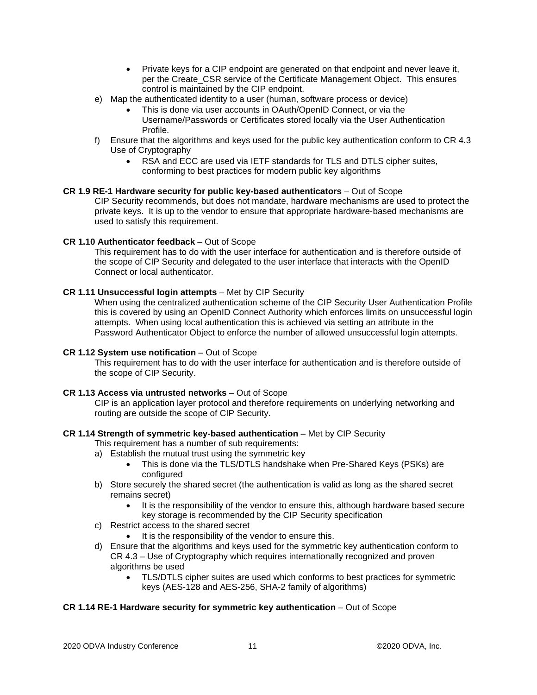- Private keys for a CIP endpoint are generated on that endpoint and never leave it, per the Create\_CSR service of the Certificate Management Object. This ensures control is maintained by the CIP endpoint.
- e) Map the authenticated identity to a user (human, software process or device)
	- This is done via user accounts in OAuth/OpenID Connect, or via the Username/Passwords or Certificates stored locally via the User Authentication Profile.
- f) Ensure that the algorithms and keys used for the public key authentication conform to CR 4.3 Use of Cryptography
	- RSA and ECC are used via IETF standards for TLS and DTLS cipher suites, conforming to best practices for modern public key algorithms

# **CR 1.9 RE-1 Hardware security for public key-based authenticators** – Out of Scope

CIP Security recommends, but does not mandate, hardware mechanisms are used to protect the private keys. It is up to the vendor to ensure that appropriate hardware-based mechanisms are used to satisfy this requirement.

# **CR 1.10 Authenticator feedback** – Out of Scope

This requirement has to do with the user interface for authentication and is therefore outside of the scope of CIP Security and delegated to the user interface that interacts with the OpenID Connect or local authenticator.

# **CR 1.11 Unsuccessful login attempts** – Met by CIP Security

When using the centralized authentication scheme of the CIP Security User Authentication Profile this is covered by using an OpenID Connect Authority which enforces limits on unsuccessful login attempts. When using local authentication this is achieved via setting an attribute in the Password Authenticator Object to enforce the number of allowed unsuccessful login attempts.

# **CR 1.12 System use notification** – Out of Scope

This requirement has to do with the user interface for authentication and is therefore outside of the scope of CIP Security.

#### **CR 1.13 Access via untrusted networks** – Out of Scope

CIP is an application layer protocol and therefore requirements on underlying networking and routing are outside the scope of CIP Security.

#### **CR 1.14 Strength of symmetric key-based authentication** – Met by CIP Security

This requirement has a number of sub requirements:

- a) Establish the mutual trust using the symmetric key
	- This is done via the TLS/DTLS handshake when Pre-Shared Keys (PSKs) are configured
- b) Store securely the shared secret (the authentication is valid as long as the shared secret remains secret)
	- It is the responsibility of the vendor to ensure this, although hardware based secure key storage is recommended by the CIP Security specification
- c) Restrict access to the shared secret
	- It is the responsibility of the vendor to ensure this.
- d) Ensure that the algorithms and keys used for the symmetric key authentication conform to CR 4.3 – Use of Cryptography which requires internationally recognized and proven algorithms be used
	- TLS/DTLS cipher suites are used which conforms to best practices for symmetric keys (AES-128 and AES-256, SHA-2 family of algorithms)

# **CR 1.14 RE-1 Hardware security for symmetric key authentication** – Out of Scope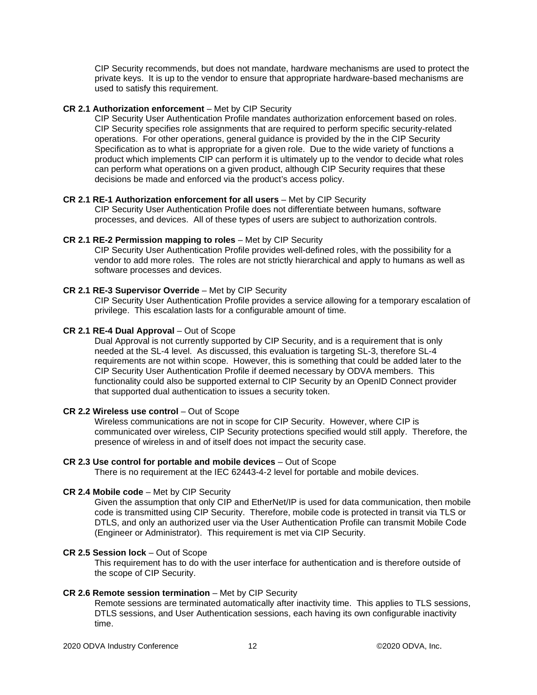CIP Security recommends, but does not mandate, hardware mechanisms are used to protect the private keys. It is up to the vendor to ensure that appropriate hardware-based mechanisms are used to satisfy this requirement.

### **CR 2.1 Authorization enforcement** – Met by CIP Security

CIP Security User Authentication Profile mandates authorization enforcement based on roles. CIP Security specifies role assignments that are required to perform specific security-related operations. For other operations, general guidance is provided by the in the CIP Security Specification as to what is appropriate for a given role. Due to the wide variety of functions a product which implements CIP can perform it is ultimately up to the vendor to decide what roles can perform what operations on a given product, although CIP Security requires that these decisions be made and enforced via the product's access policy.

# **CR 2.1 RE-1 Authorization enforcement for all users** – Met by CIP Security

CIP Security User Authentication Profile does not differentiate between humans, software processes, and devices. All of these types of users are subject to authorization controls.

#### **CR 2.1 RE-2 Permission mapping to roles** – Met by CIP Security

CIP Security User Authentication Profile provides well-defined roles, with the possibility for a vendor to add more roles. The roles are not strictly hierarchical and apply to humans as well as software processes and devices.

# **CR 2.1 RE-3 Supervisor Override** – Met by CIP Security

CIP Security User Authentication Profile provides a service allowing for a temporary escalation of privilege. This escalation lasts for a configurable amount of time.

# **CR 2.1 RE-4 Dual Approval** – Out of Scope

Dual Approval is not currently supported by CIP Security, and is a requirement that is only needed at the SL-4 level. As discussed, this evaluation is targeting SL-3, therefore SL-4 requirements are not within scope. However, this is something that could be added later to the CIP Security User Authentication Profile if deemed necessary by ODVA members. This functionality could also be supported external to CIP Security by an OpenID Connect provider that supported dual authentication to issues a security token.

#### **CR 2.2 Wireless use control** – Out of Scope

Wireless communications are not in scope for CIP Security. However, where CIP is communicated over wireless, CIP Security protections specified would still apply. Therefore, the presence of wireless in and of itself does not impact the security case.

#### **CR 2.3 Use control for portable and mobile devices** – Out of Scope

There is no requirement at the IEC 62443-4-2 level for portable and mobile devices.

#### **CR 2.4 Mobile code** – Met by CIP Security

Given the assumption that only CIP and EtherNet/IP is used for data communication, then mobile code is transmitted using CIP Security. Therefore, mobile code is protected in transit via TLS or DTLS, and only an authorized user via the User Authentication Profile can transmit Mobile Code (Engineer or Administrator). This requirement is met via CIP Security.

#### **CR 2.5 Session lock** – Out of Scope

This requirement has to do with the user interface for authentication and is therefore outside of the scope of CIP Security.

#### **CR 2.6 Remote session termination** – Met by CIP Security

Remote sessions are terminated automatically after inactivity time. This applies to TLS sessions, DTLS sessions, and User Authentication sessions, each having its own configurable inactivity time.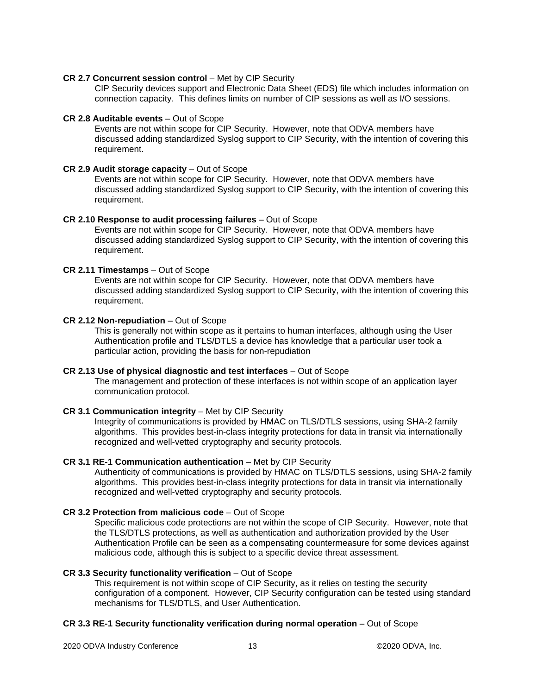#### **CR 2.7 Concurrent session control** – Met by CIP Security

CIP Security devices support and Electronic Data Sheet (EDS) file which includes information on connection capacity. This defines limits on number of CIP sessions as well as I/O sessions.

#### **CR 2.8 Auditable events** – Out of Scope

Events are not within scope for CIP Security. However, note that ODVA members have discussed adding standardized Syslog support to CIP Security, with the intention of covering this requirement.

#### **CR 2.9 Audit storage capacity** – Out of Scope

Events are not within scope for CIP Security. However, note that ODVA members have discussed adding standardized Syslog support to CIP Security, with the intention of covering this requirement.

#### **CR 2.10 Response to audit processing failures** – Out of Scope

Events are not within scope for CIP Security. However, note that ODVA members have discussed adding standardized Syslog support to CIP Security, with the intention of covering this requirement.

#### **CR 2.11 Timestamps** – Out of Scope

Events are not within scope for CIP Security. However, note that ODVA members have discussed adding standardized Syslog support to CIP Security, with the intention of covering this requirement.

#### **CR 2.12 Non-repudiation** – Out of Scope

This is generally not within scope as it pertains to human interfaces, although using the User Authentication profile and TLS/DTLS a device has knowledge that a particular user took a particular action, providing the basis for non-repudiation

# **CR 2.13 Use of physical diagnostic and test interfaces** – Out of Scope

The management and protection of these interfaces is not within scope of an application layer communication protocol.

#### **CR 3.1 Communication integrity** – Met by CIP Security

Integrity of communications is provided by HMAC on TLS/DTLS sessions, using SHA-2 family algorithms. This provides best-in-class integrity protections for data in transit via internationally recognized and well-vetted cryptography and security protocols.

#### **CR 3.1 RE-1 Communication authentication** – Met by CIP Security

Authenticity of communications is provided by HMAC on TLS/DTLS sessions, using SHA-2 family algorithms. This provides best-in-class integrity protections for data in transit via internationally recognized and well-vetted cryptography and security protocols.

#### **CR 3.2 Protection from malicious code** – Out of Scope

Specific malicious code protections are not within the scope of CIP Security. However, note that the TLS/DTLS protections, as well as authentication and authorization provided by the User Authentication Profile can be seen as a compensating countermeasure for some devices against malicious code, although this is subject to a specific device threat assessment.

#### **CR 3.3 Security functionality verification** – Out of Scope

This requirement is not within scope of CIP Security, as it relies on testing the security configuration of a component. However, CIP Security configuration can be tested using standard mechanisms for TLS/DTLS, and User Authentication.

#### **CR 3.3 RE-1 Security functionality verification during normal operation** – Out of Scope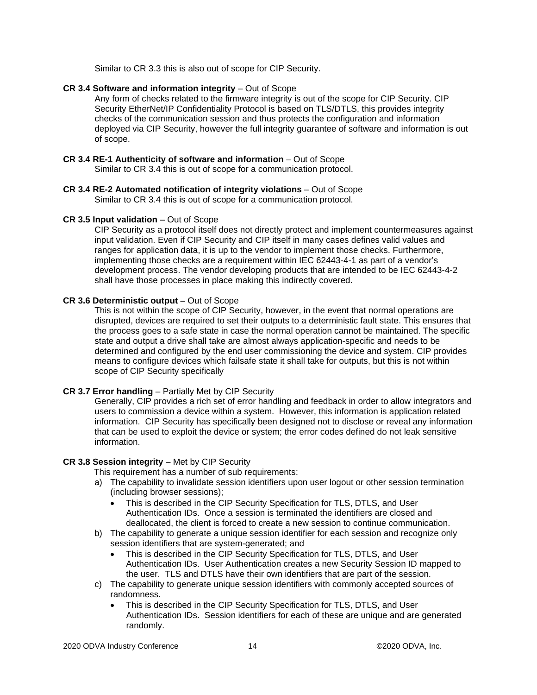Similar to CR 3.3 this is also out of scope for CIP Security.

# **CR 3.4 Software and information integrity** – Out of Scope

Any form of checks related to the firmware integrity is out of the scope for CIP Security. CIP Security EtherNet/IP Confidentiality Protocol is based on TLS/DTLS, this provides integrity checks of the communication session and thus protects the configuration and information deployed via CIP Security, however the full integrity guarantee of software and information is out of scope.

# **CR 3.4 RE-1 Authenticity of software and information** – Out of Scope

Similar to CR 3.4 this is out of scope for a communication protocol.

#### **CR 3.4 RE-2 Automated notification of integrity violations** – Out of Scope Similar to CR 3.4 this is out of scope for a communication protocol.

# **CR 3.5 Input validation** – Out of Scope

CIP Security as a protocol itself does not directly protect and implement countermeasures against input validation. Even if CIP Security and CIP itself in many cases defines valid values and ranges for application data, it is up to the vendor to implement those checks. Furthermore, implementing those checks are a requirement within IEC 62443-4-1 as part of a vendor's development process. The vendor developing products that are intended to be IEC 62443-4-2 shall have those processes in place making this indirectly covered.

# **CR 3.6 Deterministic output** – Out of Scope

This is not within the scope of CIP Security, however, in the event that normal operations are disrupted, devices are required to set their outputs to a deterministic fault state. This ensures that the process goes to a safe state in case the normal operation cannot be maintained. The specific state and output a drive shall take are almost always application-specific and needs to be determined and configured by the end user commissioning the device and system. CIP provides means to configure devices which failsafe state it shall take for outputs, but this is not within scope of CIP Security specifically

#### **CR 3.7 Error handling** – Partially Met by CIP Security

Generally, CIP provides a rich set of error handling and feedback in order to allow integrators and users to commission a device within a system. However, this information is application related information. CIP Security has specifically been designed not to disclose or reveal any information that can be used to exploit the device or system; the error codes defined do not leak sensitive information.

#### **CR 3.8 Session integrity** – Met by CIP Security

This requirement has a number of sub requirements:

- a) The capability to invalidate session identifiers upon user logout or other session termination (including browser sessions);
	- This is described in the CIP Security Specification for TLS, DTLS, and User Authentication IDs. Once a session is terminated the identifiers are closed and deallocated, the client is forced to create a new session to continue communication.
- b) The capability to generate a unique session identifier for each session and recognize only session identifiers that are system-generated; and
	- This is described in the CIP Security Specification for TLS, DTLS, and User Authentication IDs. User Authentication creates a new Security Session ID mapped to the user. TLS and DTLS have their own identifiers that are part of the session.
- c) The capability to generate unique session identifiers with commonly accepted sources of randomness.
	- This is described in the CIP Security Specification for TLS, DTLS, and User Authentication IDs. Session identifiers for each of these are unique and are generated randomly.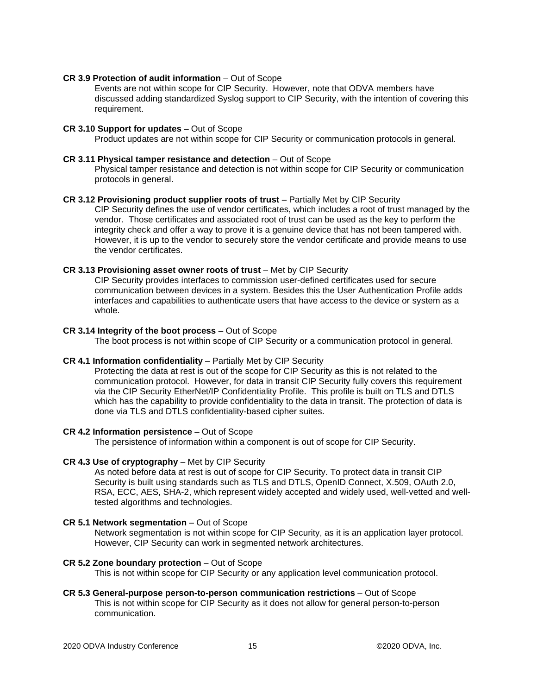#### **CR 3.9 Protection of audit information** – Out of Scope

Events are not within scope for CIP Security. However, note that ODVA members have discussed adding standardized Syslog support to CIP Security, with the intention of covering this requirement.

#### **CR 3.10 Support for updates** – Out of Scope

Product updates are not within scope for CIP Security or communication protocols in general.

#### **CR 3.11 Physical tamper resistance and detection** – Out of Scope

Physical tamper resistance and detection is not within scope for CIP Security or communication protocols in general.

#### **CR 3.12 Provisioning product supplier roots of trust** – Partially Met by CIP Security

CIP Security defines the use of vendor certificates, which includes a root of trust managed by the vendor. Those certificates and associated root of trust can be used as the key to perform the integrity check and offer a way to prove it is a genuine device that has not been tampered with. However, it is up to the vendor to securely store the vendor certificate and provide means to use the vendor certificates.

#### **CR 3.13 Provisioning asset owner roots of trust** – Met by CIP Security

CIP Security provides interfaces to commission user-defined certificates used for secure communication between devices in a system. Besides this the User Authentication Profile adds interfaces and capabilities to authenticate users that have access to the device or system as a whole.

#### **CR 3.14 Integrity of the boot process** – Out of Scope

The boot process is not within scope of CIP Security or a communication protocol in general.

#### **CR 4.1 Information confidentiality** – Partially Met by CIP Security

Protecting the data at rest is out of the scope for CIP Security as this is not related to the communication protocol. However, for data in transit CIP Security fully covers this requirement via the CIP Security EtherNet/IP Confidentiality Profile. This profile is built on TLS and DTLS which has the capability to provide confidentiality to the data in transit. The protection of data is done via TLS and DTLS confidentiality-based cipher suites.

#### **CR 4.2 Information persistence** – Out of Scope

The persistence of information within a component is out of scope for CIP Security.

#### **CR 4.3 Use of cryptography** – Met by CIP Security

As noted before data at rest is out of scope for CIP Security. To protect data in transit CIP Security is built using standards such as TLS and DTLS, OpenID Connect, X.509, OAuth 2.0, RSA, ECC, AES, SHA-2, which represent widely accepted and widely used, well-vetted and welltested algorithms and technologies.

#### **CR 5.1 Network segmentation** – Out of Scope

Network segmentation is not within scope for CIP Security, as it is an application layer protocol. However, CIP Security can work in segmented network architectures.

#### **CR 5.2 Zone boundary protection** – Out of Scope

This is not within scope for CIP Security or any application level communication protocol.

**CR 5.3 General-purpose person-to-person communication restrictions** – Out of Scope This is not within scope for CIP Security as it does not allow for general person-to-person communication.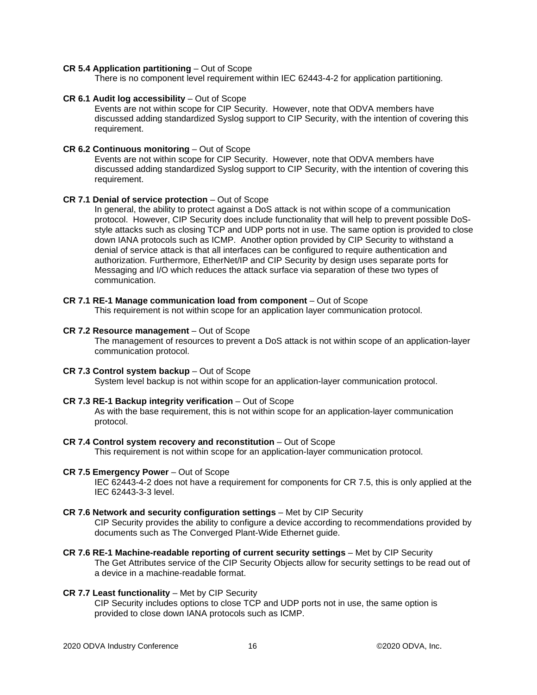#### **CR 5.4 Application partitioning** – Out of Scope

There is no component level requirement within IEC 62443-4-2 for application partitioning.

#### **CR 6.1 Audit log accessibility** – Out of Scope

Events are not within scope for CIP Security. However, note that ODVA members have discussed adding standardized Syslog support to CIP Security, with the intention of covering this requirement.

#### **CR 6.2 Continuous monitoring** – Out of Scope

Events are not within scope for CIP Security. However, note that ODVA members have discussed adding standardized Syslog support to CIP Security, with the intention of covering this requirement.

#### **CR 7.1 Denial of service protection** – Out of Scope

In general, the ability to protect against a DoS attack is not within scope of a communication protocol. However, CIP Security does include functionality that will help to prevent possible DoSstyle attacks such as closing TCP and UDP ports not in use. The same option is provided to close down IANA protocols such as ICMP. Another option provided by CIP Security to withstand a denial of service attack is that all interfaces can be configured to require authentication and authorization. Furthermore, EtherNet/IP and CIP Security by design uses separate ports for Messaging and I/O which reduces the attack surface via separation of these two types of communication.

#### **CR 7.1 RE-1 Manage communication load from component** – Out of Scope

This requirement is not within scope for an application layer communication protocol.

#### **CR 7.2 Resource management** – Out of Scope

The management of resources to prevent a DoS attack is not within scope of an application-layer communication protocol.

**CR 7.3 Control system backup** – Out of Scope

System level backup is not within scope for an application-layer communication protocol.

#### **CR 7.3 RE-1 Backup integrity verification** – Out of Scope

As with the base requirement, this is not within scope for an application-layer communication protocol.

**CR 7.4 Control system recovery and reconstitution** – Out of Scope

This requirement is not within scope for an application-layer communication protocol.

#### **CR 7.5 Emergency Power** – Out of Scope

IEC 62443-4-2 does not have a requirement for components for CR 7.5, this is only applied at the IEC 62443-3-3 level.

#### **CR 7.6 Network and security configuration settings** – Met by CIP Security

CIP Security provides the ability to configure a device according to recommendations provided by documents such as The Converged Plant-Wide Ethernet guide.

**CR 7.6 RE-1 Machine-readable reporting of current security settings** – Met by CIP Security The Get Attributes service of the CIP Security Objects allow for security settings to be read out of a device in a machine-readable format.

#### **CR 7.7 Least functionality** – Met by CIP Security

CIP Security includes options to close TCP and UDP ports not in use, the same option is provided to close down IANA protocols such as ICMP.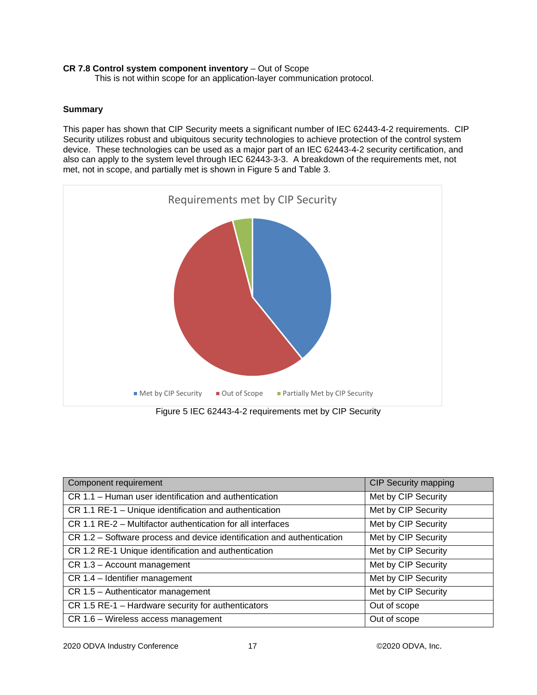# **CR 7.8 Control system component inventory** – Out of Scope

This is not within scope for an application-layer communication protocol.

### **Summary**

This paper has shown that CIP Security meets a significant number of IEC 62443-4-2 requirements. CIP Security utilizes robust and ubiquitous security technologies to achieve protection of the control system device. These technologies can be used as a major part of an IEC 62443-4-2 security certification, and also can apply to the system level through IEC 62443-3-3. A breakdown of the requirements met, not met, not in scope, and partially met is shown in [Figure 5](#page-16-0) and [Table 3.](#page-18-0) 



<span id="page-16-0"></span>

| Component requirement                                                  | <b>CIP Security mapping</b> |
|------------------------------------------------------------------------|-----------------------------|
| CR 1.1 - Human user identification and authentication                  | Met by CIP Security         |
| CR 1.1 RE-1 - Unique identification and authentication                 | Met by CIP Security         |
| CR 1.1 RE-2 – Multifactor authentication for all interfaces            | Met by CIP Security         |
| CR 1.2 – Software process and device identification and authentication | Met by CIP Security         |
| CR 1.2 RE-1 Unique identification and authentication                   | Met by CIP Security         |
| CR 1.3 - Account management                                            | Met by CIP Security         |
| CR 1.4 - Identifier management                                         | Met by CIP Security         |
| CR 1.5 - Authenticator management                                      | Met by CIP Security         |
| CR 1.5 RE-1 - Hardware security for authenticators                     | Out of scope                |
| CR 1.6 - Wireless access management                                    | Out of scope                |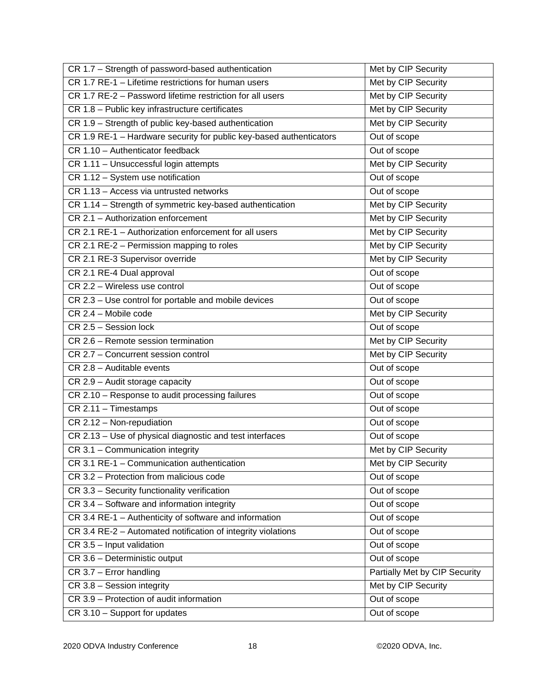| CR 1.7 - Strength of password-based authentication                  | Met by CIP Security           |
|---------------------------------------------------------------------|-------------------------------|
| CR 1.7 RE-1 - Lifetime restrictions for human users                 | Met by CIP Security           |
| CR 1.7 RE-2 - Password lifetime restriction for all users           | Met by CIP Security           |
| CR 1.8 - Public key infrastructure certificates                     | Met by CIP Security           |
| CR 1.9 - Strength of public key-based authentication                | Met by CIP Security           |
| CR 1.9 RE-1 - Hardware security for public key-based authenticators | Out of scope                  |
| CR 1.10 - Authenticator feedback                                    | Out of scope                  |
| CR 1.11 - Unsuccessful login attempts                               | Met by CIP Security           |
| CR 1.12 - System use notification                                   | Out of scope                  |
| CR 1.13 - Access via untrusted networks                             | Out of scope                  |
| CR 1.14 - Strength of symmetric key-based authentication            | Met by CIP Security           |
| CR 2.1 - Authorization enforcement                                  | Met by CIP Security           |
| CR 2.1 RE-1 - Authorization enforcement for all users               | Met by CIP Security           |
| CR 2.1 RE-2 - Permission mapping to roles                           | Met by CIP Security           |
| CR 2.1 RE-3 Supervisor override                                     | Met by CIP Security           |
| CR 2.1 RE-4 Dual approval                                           | Out of scope                  |
| CR 2.2 - Wireless use control                                       | Out of scope                  |
| CR 2.3 - Use control for portable and mobile devices                | Out of scope                  |
| CR 2.4 - Mobile code                                                | Met by CIP Security           |
| CR 2.5 - Session lock                                               | Out of scope                  |
| CR 2.6 - Remote session termination                                 | Met by CIP Security           |
| CR 2.7 - Concurrent session control                                 | Met by CIP Security           |
| CR 2.8 - Auditable events                                           | Out of scope                  |
| CR 2.9 - Audit storage capacity                                     | Out of scope                  |
| CR 2.10 - Response to audit processing failures                     | Out of scope                  |
| CR 2.11 - Timestamps                                                | Out of scope                  |
| CR 2.12 - Non-repudiation                                           | Out of scope                  |
| CR 2.13 - Use of physical diagnostic and test interfaces            | Out of scope                  |
| CR 3.1 - Communication integrity                                    | Met by CIP Security           |
| CR 3.1 RE-1 - Communication authentication                          | Met by CIP Security           |
| CR 3.2 - Protection from malicious code                             | Out of scope                  |
| CR 3.3 - Security functionality verification                        | Out of scope                  |
| CR 3.4 - Software and information integrity                         | Out of scope                  |
| CR 3.4 RE-1 - Authenticity of software and information              | Out of scope                  |
| CR 3.4 RE-2 - Automated notification of integrity violations        | Out of scope                  |
| CR 3.5 - Input validation                                           | Out of scope                  |
| CR 3.6 - Deterministic output                                       | Out of scope                  |
| CR 3.7 - Error handling                                             | Partially Met by CIP Security |
| CR 3.8 - Session integrity                                          | Met by CIP Security           |
| CR 3.9 - Protection of audit information                            | Out of scope                  |
| CR 3.10 - Support for updates                                       | Out of scope                  |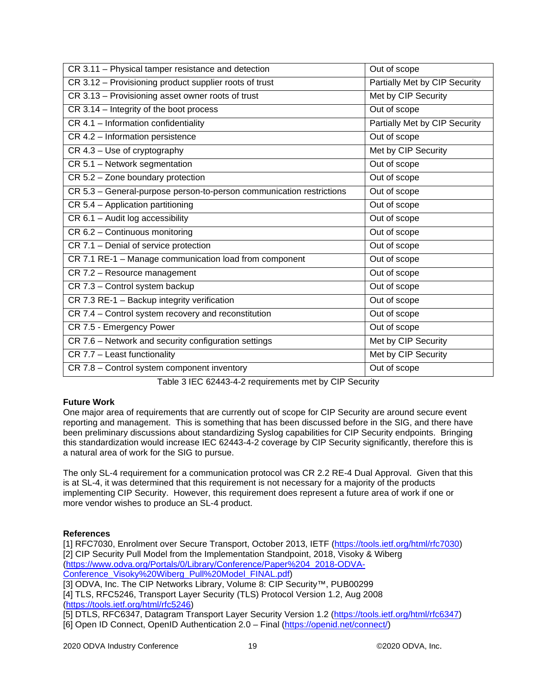| CR 3.11 - Physical tamper resistance and detection                   | Out of scope                         |
|----------------------------------------------------------------------|--------------------------------------|
| CR 3.12 - Provisioning product supplier roots of trust               | <b>Partially Met by CIP Security</b> |
| CR 3.13 - Provisioning asset owner roots of trust                    | Met by CIP Security                  |
| CR 3.14 - Integrity of the boot process                              | Out of scope                         |
| CR 4.1 - Information confidentiality                                 | Partially Met by CIP Security        |
| CR 4.2 - Information persistence                                     | Out of scope                         |
| CR 4.3 - Use of cryptography                                         | Met by CIP Security                  |
| CR 5.1 - Network segmentation                                        | Out of scope                         |
| CR 5.2 - Zone boundary protection                                    | Out of scope                         |
| CR 5.3 - General-purpose person-to-person communication restrictions | Out of scope                         |
| $CR 5.4 - Application partitioning$                                  | Out of scope                         |
| CR 6.1 - Audit log accessibility                                     | Out of scope                         |
| CR 6.2 - Continuous monitoring                                       | Out of scope                         |
| CR 7.1 - Denial of service protection                                | Out of scope                         |
| CR 7.1 RE-1 - Manage communication load from component               | Out of scope                         |
| CR 7.2 - Resource management                                         | Out of scope                         |
| CR 7.3 - Control system backup                                       | Out of scope                         |
| CR 7.3 RE-1 - Backup integrity verification                          | Out of scope                         |
| CR 7.4 - Control system recovery and reconstitution                  | Out of scope                         |
| CR 7.5 - Emergency Power                                             | Out of scope                         |
| CR 7.6 - Network and security configuration settings                 | Met by CIP Security                  |
| CR 7.7 - Least functionality                                         | Met by CIP Security                  |
| CR 7.8 - Control system component inventory                          | Out of scope                         |

Table 3 IEC 62443-4-2 requirements met by CIP Security

# <span id="page-18-0"></span>**Future Work**

One major area of requirements that are currently out of scope for CIP Security are around secure event reporting and management. This is something that has been discussed before in the SIG, and there have been preliminary discussions about standardizing Syslog capabilities for CIP Security endpoints. Bringing this standardization would increase IEC 62443-4-2 coverage by CIP Security significantly, therefore this is a natural area of work for the SIG to pursue.

The only SL-4 requirement for a communication protocol was CR 2.2 RE-4 Dual Approval. Given that this is at SL-4, it was determined that this requirement is not necessary for a majority of the products implementing CIP Security. However, this requirement does represent a future area of work if one or more vendor wishes to produce an SL-4 product.

# **References**

[1] RFC7030, Enrolment over Secure Transport, October 2013, IETF [\(https://tools.ietf.org/html/rfc7030\)](https://tools.ietf.org/html/rfc7030) [2] CIP Security Pull Model from the Implementation Standpoint, 2018, Visoky & Wiberg [\(https://www.odva.org/Portals/0/Library/Conference/Paper%204\\_2018-ODVA-](https://www.odva.org/Portals/0/Library/Conference/Paper%204_2018-ODVA-Conference_Visoky%20Wiberg_Pull%20Model_FINAL.pdf)[Conference\\_Visoky%20Wiberg\\_Pull%20Model\\_FINAL.pdf\)](https://www.odva.org/Portals/0/Library/Conference/Paper%204_2018-ODVA-Conference_Visoky%20Wiberg_Pull%20Model_FINAL.pdf)

[3] ODVA, Inc. The CIP Networks Library, Volume 8: CIP Security™, PUB00299

[4] TLS, RFC5246, Transport Layer Security (TLS) Protocol Version 1.2, Aug 2008 [\(https://tools.ietf.org/html/rfc5246\)](https://tools.ietf.org/html/rfc5246)

[5] DTLS, RFC6347, Datagram Transport Layer Security Version 1.2 [\(https://tools.ietf.org/html/rfc6347\)](https://tools.ietf.org/html/rfc6347) [6] Open ID Connect, OpenID Authentication 2.0 – Final [\(https://openid.net/connect/\)](https://openid.net/connect/)